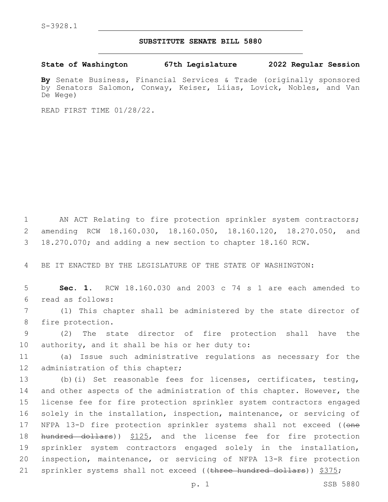## **SUBSTITUTE SENATE BILL 5880**

**State of Washington 67th Legislature 2022 Regular Session**

**By** Senate Business, Financial Services & Trade (originally sponsored by Senators Salomon, Conway, Keiser, Liias, Lovick, Nobles, and Van De Wege)

READ FIRST TIME 01/28/22.

1 AN ACT Relating to fire protection sprinkler system contractors; 2 amending RCW 18.160.030, 18.160.050, 18.160.120, 18.270.050, and 3 18.270.070; and adding a new section to chapter 18.160 RCW.

4 BE IT ENACTED BY THE LEGISLATURE OF THE STATE OF WASHINGTON:

5 **Sec. 1.** RCW 18.160.030 and 2003 c 74 s 1 are each amended to read as follows:6

7 (1) This chapter shall be administered by the state director of 8 fire protection.

9 (2) The state director of fire protection shall have the 10 authority, and it shall be his or her duty to:

11 (a) Issue such administrative regulations as necessary for the 12 administration of this chapter;

13 (b)(i) Set reasonable fees for licenses, certificates, testing, 14 and other aspects of the administration of this chapter. However, the 15 license fee for fire protection sprinkler system contractors engaged 16 solely in the installation, inspection, maintenance, or servicing of 17 NFPA 13-D fire protection sprinkler systems shall not exceed ((one 18 hundred dollars)) \$125, and the license fee for fire protection 19 sprinkler system contractors engaged solely in the installation, 20 inspection, maintenance, or servicing of NFPA 13-R fire protection 21 sprinkler systems shall not exceed ((three hundred dollars)) \$375;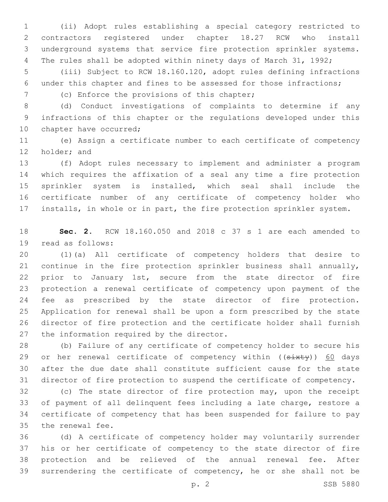(ii) Adopt rules establishing a special category restricted to contractors registered under chapter 18.27 RCW who install underground systems that service fire protection sprinkler systems. 4 The rules shall be adopted within ninety days of March 31, 1992;

 (iii) Subject to RCW 18.160.120, adopt rules defining infractions under this chapter and fines to be assessed for those infractions;

7 (c) Enforce the provisions of this chapter;

 (d) Conduct investigations of complaints to determine if any infractions of this chapter or the regulations developed under this 10 chapter have occurred;

 (e) Assign a certificate number to each certificate of competency 12 holder; and

 (f) Adopt rules necessary to implement and administer a program which requires the affixation of a seal any time a fire protection sprinkler system is installed, which seal shall include the certificate number of any certificate of competency holder who installs, in whole or in part, the fire protection sprinkler system.

 **Sec. 2.** RCW 18.160.050 and 2018 c 37 s 1 are each amended to 19 read as follows:

 (1)(a) All certificate of competency holders that desire to continue in the fire protection sprinkler business shall annually, prior to January 1st, secure from the state director of fire protection a renewal certificate of competency upon payment of the 24 fee as prescribed by the state director of fire protection. Application for renewal shall be upon a form prescribed by the state director of fire protection and the certificate holder shall furnish 27 the information required by the director.

 (b) Failure of any certificate of competency holder to secure his 29 or her renewal certificate of competency within ((sixty)) 60 days after the due date shall constitute sufficient cause for the state director of fire protection to suspend the certificate of competency.

 (c) The state director of fire protection may, upon the receipt of payment of all delinquent fees including a late charge, restore a certificate of competency that has been suspended for failure to pay 35 the renewal fee.

 (d) A certificate of competency holder may voluntarily surrender his or her certificate of competency to the state director of fire protection and be relieved of the annual renewal fee. After surrendering the certificate of competency, he or she shall not be

p. 2 SSB 5880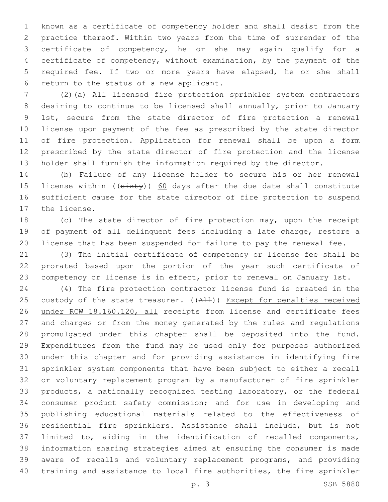known as a certificate of competency holder and shall desist from the practice thereof. Within two years from the time of surrender of the certificate of competency, he or she may again qualify for a certificate of competency, without examination, by the payment of the required fee. If two or more years have elapsed, he or she shall 6 return to the status of a new applicant.

 (2)(a) All licensed fire protection sprinkler system contractors desiring to continue to be licensed shall annually, prior to January 1st, secure from the state director of fire protection a renewal license upon payment of the fee as prescribed by the state director of fire protection. Application for renewal shall be upon a form prescribed by the state director of fire protection and the license holder shall furnish the information required by the director.

 (b) Failure of any license holder to secure his or her renewal 15 license within (( $\frac{3x+y}{60}$  days after the due date shall constitute sufficient cause for the state director of fire protection to suspend 17 the license.

 (c) The state director of fire protection may, upon the receipt of payment of all delinquent fees including a late charge, restore a license that has been suspended for failure to pay the renewal fee.

 (3) The initial certificate of competency or license fee shall be prorated based upon the portion of the year such certificate of competency or license is in effect, prior to renewal on January 1st.

 (4) The fire protection contractor license fund is created in the 25 custody of the state treasurer. ((A11)) Except for penalties received under RCW 18.160.120, all receipts from license and certificate fees and charges or from the money generated by the rules and regulations promulgated under this chapter shall be deposited into the fund. Expenditures from the fund may be used only for purposes authorized under this chapter and for providing assistance in identifying fire sprinkler system components that have been subject to either a recall or voluntary replacement program by a manufacturer of fire sprinkler products, a nationally recognized testing laboratory, or the federal consumer product safety commission; and for use in developing and publishing educational materials related to the effectiveness of residential fire sprinklers. Assistance shall include, but is not limited to, aiding in the identification of recalled components, information sharing strategies aimed at ensuring the consumer is made aware of recalls and voluntary replacement programs, and providing training and assistance to local fire authorities, the fire sprinkler

p. 3 SSB 5880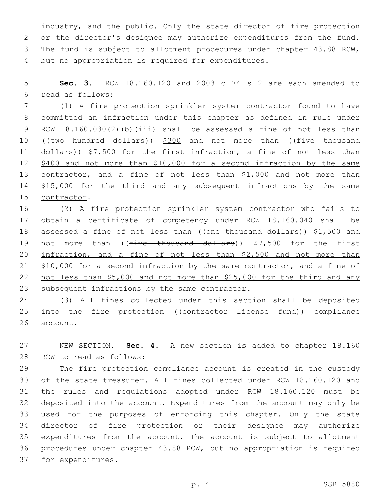industry, and the public. Only the state director of fire protection or the director's designee may authorize expenditures from the fund. The fund is subject to allotment procedures under chapter 43.88 RCW, 4 but no appropriation is required for expenditures.

5 **Sec. 3.** RCW 18.160.120 and 2003 c 74 s 2 are each amended to read as follows:6

7 (1) A fire protection sprinkler system contractor found to have 8 committed an infraction under this chapter as defined in rule under 9 RCW 18.160.030(2)(b)(iii) shall be assessed a fine of not less than 10 ((two hundred dollars)) \$300 and not more than ((five thousand 11 dollars)) \$7,500 for the first infraction, a fine of not less than 12 \$400 and not more than \$10,000 for a second infraction by the same 13 contractor, and a fine of not less than \$1,000 and not more than 14 \$15,000 for the third and any subsequent infractions by the same 15 contractor.

16 (2) A fire protection sprinkler system contractor who fails to 17 obtain a certificate of competency under RCW 18.160.040 shall be 18 assessed a fine of not less than ((one thousand dollars)) \$1,500 and 19 not more than ((<del>five thousand dollars</del>)) \$7,500 for the first 20 infraction, and a fine of not less than \$2,500 and not more than 21 \$10,000 for a second infraction by the same contractor, and a fine of 22 not less than \$5,000 and not more than \$25,000 for the third and any 23 subsequent infractions by the same contractor.

24 (3) All fines collected under this section shall be deposited 25 into the fire protection ((contractor license fund)) compliance 26 account.

27 NEW SECTION. **Sec. 4.** A new section is added to chapter 18.160 28 RCW to read as follows:

 The fire protection compliance account is created in the custody of the state treasurer. All fines collected under RCW 18.160.120 and the rules and regulations adopted under RCW 18.160.120 must be deposited into the account. Expenditures from the account may only be used for the purposes of enforcing this chapter. Only the state director of fire protection or their designee may authorize expenditures from the account. The account is subject to allotment procedures under chapter 43.88 RCW, but no appropriation is required 37 for expenditures.